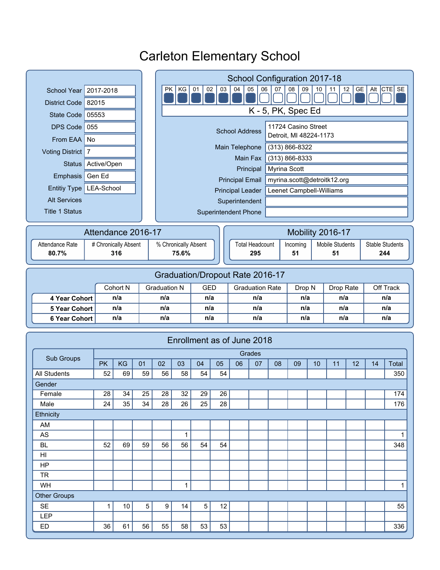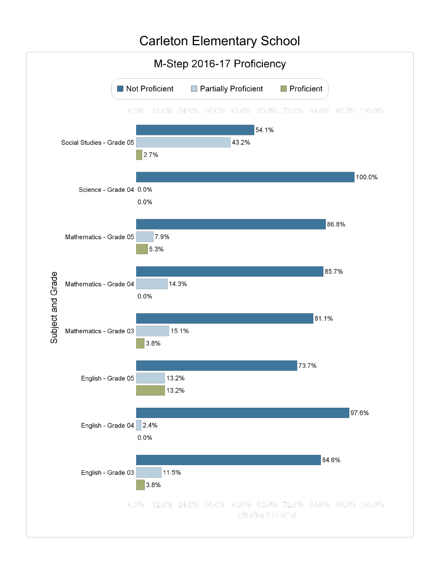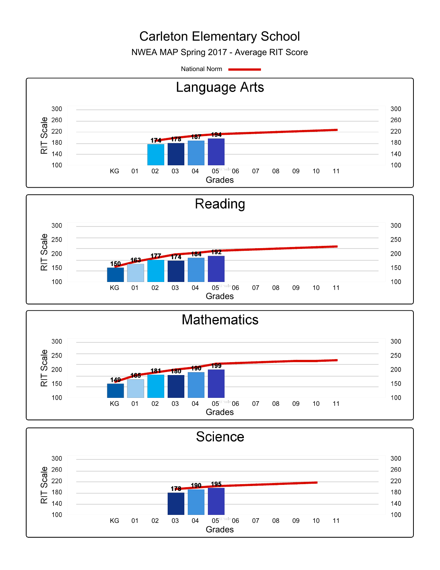NWEA MAP Spring 2017 - Average RIT Score

National Norm